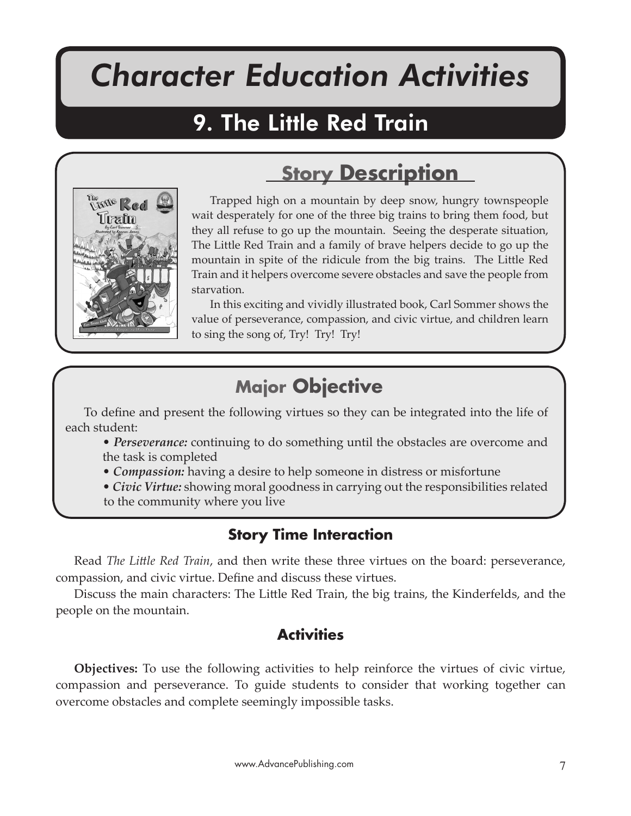# *Character Education Activities*

The Little Red Train

# 9. The Little Red Train



## **Story Description**

Trapped high on a mountain by deep snow, hungry townspeople wait desperately for one of the three big trains to bring them food, but they all refuse to go up the mountain. Seeing the desperate situation, The Little Red Train and a family of brave helpers decide to go up the mountain in spite of the ridicule from the big trains. The Little Red Train and it helpers overcome severe obstacles and save the people from starvation.

In this exciting and vividly illustrated book, Carl Sommer shows the value of perseverance, compassion, and civic virtue, and children learn to sing the song of, Try! Try! Try!

### **Major Objective**

To define and present the following virtues so they can be integrated into the life of each student:

- *Perseverance:* continuing to do something until the obstacles are overcome and the task is completed
- *Compassion:* having a desire to help someone in distress or misfortune
- *Civic Virtue:* showing moral goodness in carrying out the responsibilities related to the community where you live

### **Story Time Interaction**

Read *The Little Red Train*, and then write these three virtues on the board: perseverance, compassion, and civic virtue. Define and discuss these virtues.

Discuss the main characters: The Little Red Train, the big trains, the Kinderfelds, and the people on the mountain.

### **Activities**

**Objectives:** To use the following activities to help reinforce the virtues of civic virtue, compassion and perseverance. To guide students to consider that working together can overcome obstacles and complete seemingly impossible tasks.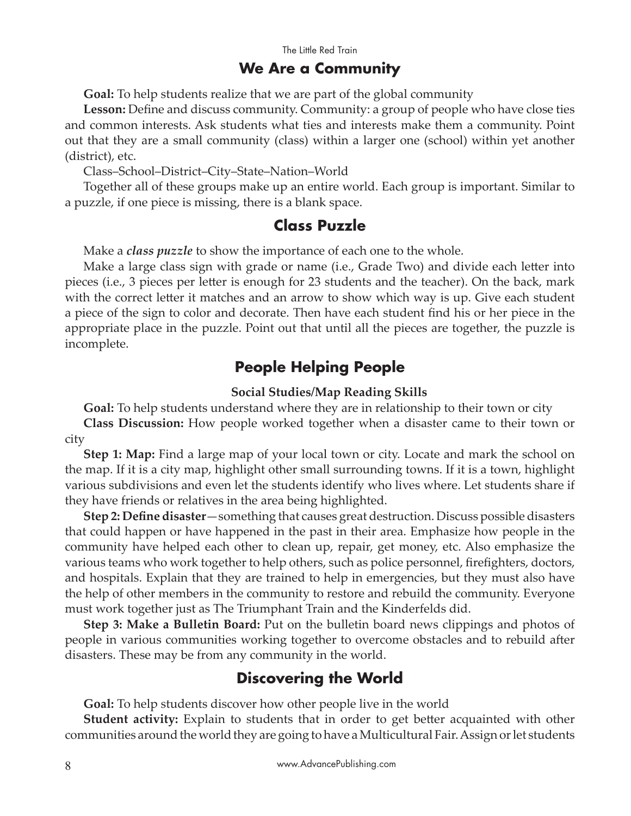#### **We Are a Community**

**Goal:** To help students realize that we are part of the global community

**Lesson:** Define and discuss community. Community: a group of people who have close ties and common interests. Ask students what ties and interests make them a community. Point out that they are a small community (class) within a larger one (school) within yet another (district), etc.

Class–School–District–City–State–Nation–World

Together all of these groups make up an entire world. Each group is important. Similar to a puzzle, if one piece is missing, there is a blank space.

#### **Class Puzzle**

Make a *class puzzle* to show the importance of each one to the whole.

Make a large class sign with grade or name (i.e., Grade Two) and divide each letter into pieces (i.e., 3 pieces per letter is enough for 23 students and the teacher). On the back, mark with the correct letter it matches and an arrow to show which way is up. Give each student a piece of the sign to color and decorate. Then have each student find his or her piece in the appropriate place in the puzzle. Point out that until all the pieces are together, the puzzle is incomplete.

#### **People Helping People**

#### **Social Studies/Map Reading Skills**

**Goal:** To help students understand where they are in relationship to their town or city **Class Discussion:** How people worked together when a disaster came to their town or city

**Step 1: Map:** Find a large map of your local town or city. Locate and mark the school on the map. If it is a city map, highlight other small surrounding towns. If it is a town, highlight various subdivisions and even let the students identify who lives where. Let students share if they have friends or relatives in the area being highlighted.

**Step 2: Define disaster**—something that causes great destruction. Discuss possible disasters that could happen or have happened in the past in their area. Emphasize how people in the community have helped each other to clean up, repair, get money, etc. Also emphasize the various teams who work together to help others, such as police personnel, firefighters, doctors, and hospitals. Explain that they are trained to help in emergencies, but they must also have the help of other members in the community to restore and rebuild the community. Everyone must work together just as The Triumphant Train and the Kinderfelds did.

**Step 3: Make a Bulletin Board:** Put on the bulletin board news clippings and photos of people in various communities working together to overcome obstacles and to rebuild after disasters. These may be from any community in the world.

#### **Discovering the World**

**Goal:** To help students discover how other people live in the world

**Student activity:** Explain to students that in order to get better acquainted with other communities around the world they are going to have a Multicultural Fair. Assign or let students